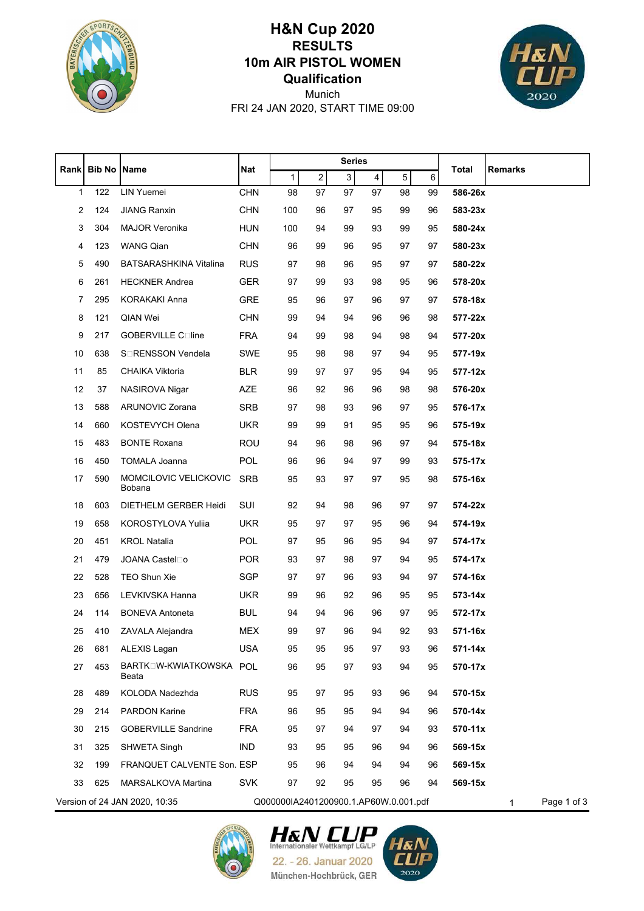

## **Qualification 10m AIR PISTOL WOMEN RESULTS H&N Cup 2020**



FRI 24 JAN 2020, START TIME 09:00 Munich

|    |     |                                  |            | <b>Series</b>                         |                |    |    |    |         |         |                  |
|----|-----|----------------------------------|------------|---------------------------------------|----------------|----|----|----|---------|---------|------------------|
|    |     | Rank Bib No Name                 | <b>Nat</b> | 1                                     | $\overline{c}$ | 3  | 4  | 5  | $\,6\,$ | Total   | <b>Remarks</b>   |
| 1  | 122 | LIN Yuemei                       | <b>CHN</b> | 98                                    | 97             | 97 | 97 | 98 | 99      | 586-26x |                  |
| 2  | 124 | <b>JIANG Ranxin</b>              | <b>CHN</b> | 100                                   | 96             | 97 | 95 | 99 | 96      | 583-23x |                  |
| 3  | 304 | <b>MAJOR Veronika</b>            | HUN        | 100                                   | 94             | 99 | 93 | 99 | 95      | 580-24x |                  |
| 4  | 123 | <b>WANG Qian</b>                 | <b>CHN</b> | 96                                    | 99             | 96 | 95 | 97 | 97      | 580-23x |                  |
| 5  | 490 | <b>BATSARASHKINA Vitalina</b>    | <b>RUS</b> | 97                                    | 98             | 96 | 95 | 97 | 97      | 580-22x |                  |
| 6  | 261 | <b>HECKNER Andrea</b>            | <b>GER</b> | 97                                    | 99             | 93 | 98 | 95 | 96      | 578-20x |                  |
| 7  | 295 | <b>KORAKAKI Anna</b>             | <b>GRE</b> | 95                                    | 96             | 97 | 96 | 97 | 97      | 578-18x |                  |
| 8  | 121 | QIAN Wei                         | <b>CHN</b> | 99                                    | 94             | 94 | 96 | 96 | 98      | 577-22x |                  |
| 9  | 217 | GOBERVILLE Coline                | <b>FRA</b> | 94                                    | 99             | 98 | 94 | 98 | 94      | 577-20x |                  |
| 10 | 638 | S <sub>I</sub> RENSSON Vendela   | SWE        | 95                                    | 98             | 98 | 97 | 94 | 95      | 577-19x |                  |
| 11 | 85  | CHAIKA Viktoria                  | <b>BLR</b> | 99                                    | 97             | 97 | 95 | 94 | 95      | 577-12x |                  |
| 12 | 37  | NASIROVA Nigar                   | <b>AZE</b> | 96                                    | 92             | 96 | 96 | 98 | 98      | 576-20x |                  |
| 13 | 588 | <b>ARUNOVIC Zorana</b>           | <b>SRB</b> | 97                                    | 98             | 93 | 96 | 97 | 95      | 576-17x |                  |
| 14 | 660 | KOSTEVYCH Olena                  | <b>UKR</b> | 99                                    | 99             | 91 | 95 | 95 | 96      | 575-19x |                  |
| 15 | 483 | <b>BONTE Roxana</b>              | <b>ROU</b> | 94                                    | 96             | 98 | 96 | 97 | 94      | 575-18x |                  |
| 16 | 450 | <b>TOMALA Joanna</b>             | <b>POL</b> | 96                                    | 96             | 94 | 97 | 99 | 93      | 575-17x |                  |
| 17 | 590 | MOMCILOVIC VELICKOVIC<br>Bobana  | <b>SRB</b> | 95                                    | 93             | 97 | 97 | 95 | 98      | 575-16x |                  |
| 18 | 603 | DIETHELM GERBER Heidi            | SUI        | 92                                    | 94             | 98 | 96 | 97 | 97      | 574-22x |                  |
| 19 | 658 | <b>KOROSTYLOVA Yulija</b>        | <b>UKR</b> | 95                                    | 97             | 97 | 95 | 96 | 94      | 574-19x |                  |
| 20 | 451 | <b>KROL Natalia</b>              | <b>POL</b> | 97                                    | 95             | 96 | 95 | 94 | 97      | 574-17x |                  |
| 21 | 479 | JOANA Castel□o                   | POR        | 93                                    | 97             | 98 | 97 | 94 | 95      | 574-17x |                  |
| 22 | 528 | <b>TEO Shun Xie</b>              | SGP        | 97                                    | 97             | 96 | 93 | 94 | 97      | 574-16x |                  |
| 23 | 656 | LEVKIVSKA Hanna                  | <b>UKR</b> | 99                                    | 96             | 92 | 96 | 95 | 95      | 573-14x |                  |
| 24 | 114 | <b>BONEVA Antoneta</b>           | <b>BUL</b> | 94                                    | 94             | 96 | 96 | 97 | 95      | 572-17x |                  |
| 25 |     | 410 ZAVALA Alejandra             | MEX        | 99                                    | 97             | 96 | 94 | 92 | 93      | 571-16x |                  |
| 26 | 681 | ALEXIS Lagan                     | <b>USA</b> | 95                                    | 95             | 95 | 97 | 93 | 96      | 571-14x |                  |
| 27 | 453 | BARTKOW-KWIATKOWSKA POL<br>Beata |            | 96                                    | 95             | 97 | 93 | 94 | 95      | 570-17x |                  |
| 28 | 489 | KOLODA Nadezhda                  | <b>RUS</b> | 95                                    | 97             | 95 | 93 | 96 | 94      | 570-15x |                  |
| 29 | 214 | PARDON Karine                    | <b>FRA</b> | 96                                    | 95             | 95 | 94 | 94 | 96      | 570-14x |                  |
| 30 | 215 | <b>GOBERVILLE Sandrine</b>       | <b>FRA</b> | 95                                    | 97             | 94 | 97 | 94 | 93      | 570-11x |                  |
| 31 | 325 | SHWETA Singh                     | IND        | 93                                    | 95             | 95 | 96 | 94 | 96      | 569-15x |                  |
| 32 | 199 | FRANQUET CALVENTE Son. ESP       |            | 95                                    | 96             | 94 | 94 | 94 | 96      | 569-15x |                  |
| 33 | 625 | MARSALKOVA Martina               | <b>SVK</b> | 97                                    | 92             | 95 | 95 | 96 | 94      | 569-15x |                  |
|    |     | Version of 24 JAN 2020, 10:35    |            | Q000000IA2401200900.1.AP60W.0.001.pdf |                |    |    |    |         |         | Page 1 of 3<br>1 |





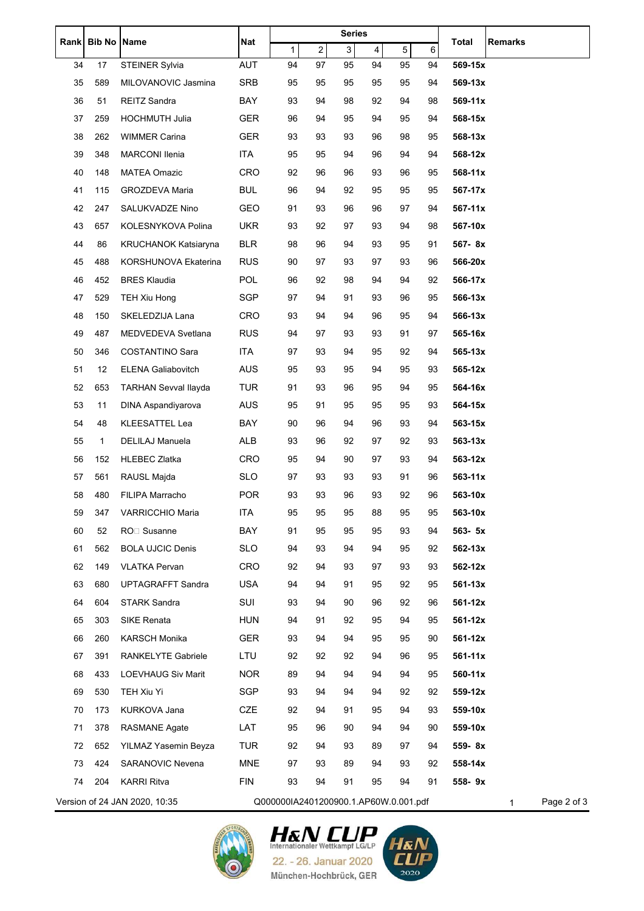| <b>Bib No Name</b><br>5<br>$\overline{\mathbf{c}}$<br>3<br>1<br>$\overline{4}$<br>6<br><b>AUT</b><br>17<br>94<br>97<br>95<br>94<br>95<br>569-15x<br>34<br><b>STEINER Sylvia</b><br>94<br><b>SRB</b><br>35<br>589<br>MILOVANOVIC Jasmina<br>95<br>95<br>95<br>95<br>95<br>94<br>569-13x<br>36<br>51<br><b>REITZ Sandra</b><br>BAY<br>93<br>94<br>98<br>92<br>94<br>569-11x<br>98<br>37<br>259<br><b>HOCHMUTH Julia</b><br><b>GER</b><br>94<br>94<br>96<br>95<br>95<br>94<br>568-15x<br>38<br>262<br><b>GER</b><br><b>WIMMER Carina</b><br>93<br>93<br>93<br>96<br>98<br>95<br>568-13x<br>ITA<br>348<br><b>MARCONI Ilenia</b><br>95<br>95<br>94<br>96<br>94<br>94<br>568-12x<br>39<br><b>MATEA Omazic</b><br><b>CRO</b><br>40<br>148<br>92<br>96<br>96<br>93<br>96<br>95<br>568-11x<br><b>BUL</b><br>115<br>GROZDEVA Maria<br>96<br>94<br>92<br>95<br>95<br>95<br>567-17x<br>41<br>42<br>247<br>SALUKVADZE Nino<br>GEO<br>91<br>93<br>96<br>96<br>97<br>$567 - 11x$<br>94<br>43<br>657<br>KOLESNYKOVA Polina<br><b>UKR</b><br>93<br>92<br>97<br>93<br>94<br>98<br>567-10x<br>86<br><b>BLR</b><br>44<br><b>KRUCHANOK Katsiaryna</b><br>98<br>96<br>94<br>93<br>95<br>567-8x<br>91<br><b>RUS</b><br>45<br>488<br>KORSHUNOVA Ekaterina<br>90<br>97<br>93<br>97<br>93<br>566-20x<br>96<br>POL<br>452<br><b>BRES Klaudia</b><br>96<br>92<br>98<br>94<br>94<br>92<br>566-17x<br>46<br>SGP<br>529<br>TEH Xiu Hong<br>94<br>91<br>93<br>96<br>566-13x<br>47<br>97<br>95<br>150<br>48<br>SKELEDZIJA Lana<br><b>CRO</b><br>93<br>94<br>94<br>96<br>95<br>94<br>566-13x<br>487<br>MEDVEDEVA Svetlana<br><b>RUS</b><br>49<br>94<br>97<br>93<br>93<br>91<br>565-16x<br>97<br>COSTANTINO Sara<br><b>ITA</b><br>346<br>97<br>93<br>94<br>95<br>92<br>565-13x<br>50<br>94<br>12<br><b>AUS</b><br>95<br>93<br>94<br>95<br>565-12x<br>51<br><b>ELENA Galiabovitch</b><br>95<br>93<br><b>TUR</b><br>653<br><b>TARHAN Sevval Ilayda</b><br>93<br>95<br>564-16x<br>52<br>91<br>96<br>94<br>95<br>53<br>11<br><b>AUS</b><br>95<br>91<br>95<br>95<br>564-15x<br>DINA Aspandiyarova<br>95<br>93<br><b>KLEESATTEL Lea</b><br>BAY<br>96<br>94<br>96<br>93<br>563-15x<br>54<br>48<br>90<br>94<br>1<br>ALB<br>55<br>DELILAJ Manuela<br>93<br>96<br>92<br>97<br>92<br>563-13x<br>93<br>152<br><b>HLEBEC Zlatka</b><br>CRO<br>95<br>94<br>90<br>97<br>93<br>94<br>563-12x<br>56<br>561<br>RAUSL Majda<br><b>SLO</b><br>97<br>93<br>93<br>93<br>91<br>563-11x<br>57<br>96<br>FILIPA Marracho<br><b>POR</b><br>93<br>96<br>93<br>92<br>58<br>480<br>93<br>96<br>563-10x<br>95<br>88<br>95<br>95<br>59<br>95<br>95<br>347<br>VARRICCHIO Maria<br><b>ITA</b><br>563-10x<br>60<br>52<br>RO <sub>D</sub> Susanne<br>BAY<br>91<br>95<br>95<br>95<br>93<br>563- 5x<br>94<br>562<br><b>BOLA UJCIC Denis</b><br><b>SLO</b><br>93<br>562-13x<br>61<br>94<br>94<br>94<br>95<br>92<br><b>CRO</b><br>62<br>149<br><b>VLATKA Pervan</b><br>92<br>94<br>93<br>97<br>93<br>93<br>562-12x<br><b>USA</b><br>63<br>680<br><b>UPTAGRAFFT Sandra</b><br>94<br>94<br>91<br>95<br>92<br>95<br>$561 - 13x$<br>SUI<br>604<br><b>STARK Sandra</b><br>93<br>94<br>90<br>96<br>92<br>561-12x<br>64<br>96<br>SIKE Renata<br>561-12x<br>303<br><b>HUN</b><br>94<br>91<br>92<br>95<br>94<br>95<br>65<br>66<br>260<br><b>KARSCH Monika</b><br><b>GER</b><br>94<br>93<br>94<br>95<br>95<br>90<br>561-12x<br>391<br><b>RANKELYTE Gabriele</b><br>LTU<br>67<br>92<br>92<br>92<br>94<br>96<br>95<br>$561 - 11x$<br><b>NOR</b><br>68<br>433<br><b>LOEVHAUG Siv Marit</b><br>89<br>94<br>94<br>94<br>94<br>95<br>560-11x<br>SGP<br>530<br>TEH Xiu Yi<br>93<br>94<br>94<br>94<br>92<br>559-12x<br>69<br>92<br>CZE<br>70<br>173<br>KURKOVA Jana<br>92<br>94<br>91<br>95<br>94<br>93<br>559-10x<br>378<br>71<br><b>RASMANE Agate</b><br>LAT<br>95<br>96<br>90<br>94<br>94<br>90<br>559-10x<br>72<br>652<br><b>TUR</b><br>559-8x<br>YILMAZ Yasemin Beyza<br>92<br>94<br>93<br>89<br>97<br>94<br><b>MNE</b><br>73<br>424<br>SARANOVIC Nevena<br>93<br>89<br>94<br>93<br>558-14x<br>97<br>92<br><b>FIN</b><br>204<br><b>KARRI Ritva</b><br>93<br>94<br>91<br>95<br>94<br>91<br>558-9x<br>74<br>Version of 24 JAN 2020, 10:35<br>Q000000IA2401200900.1.AP60W.0.001.pdf<br>Page 2 of 3 | Rank |  | <b>Nat</b> | <b>Series</b> |  |  |  |  |  | Total<br>Remarks |
|---------------------------------------------------------------------------------------------------------------------------------------------------------------------------------------------------------------------------------------------------------------------------------------------------------------------------------------------------------------------------------------------------------------------------------------------------------------------------------------------------------------------------------------------------------------------------------------------------------------------------------------------------------------------------------------------------------------------------------------------------------------------------------------------------------------------------------------------------------------------------------------------------------------------------------------------------------------------------------------------------------------------------------------------------------------------------------------------------------------------------------------------------------------------------------------------------------------------------------------------------------------------------------------------------------------------------------------------------------------------------------------------------------------------------------------------------------------------------------------------------------------------------------------------------------------------------------------------------------------------------------------------------------------------------------------------------------------------------------------------------------------------------------------------------------------------------------------------------------------------------------------------------------------------------------------------------------------------------------------------------------------------------------------------------------------------------------------------------------------------------------------------------------------------------------------------------------------------------------------------------------------------------------------------------------------------------------------------------------------------------------------------------------------------------------------------------------------------------------------------------------------------------------------------------------------------------------------------------------------------------------------------------------------------------------------------------------------------------------------------------------------------------------------------------------------------------------------------------------------------------------------------------------------------------------------------------------------------------------------------------------------------------------------------------------------------------------------------------------------------------------------------------------------------------------------------------------------------------------------------------------------------------------------------------------------------------------------------------------------------------------------------------------------------------------------------------------------------------------------------------------------------------------------------------------------------------------------------------------------------------------------------------------------------------------------------------------------------------------------------------------------------------------------------------------------------------------------------------------------------------------------------------------------------------------------------------------------------------------------------------------------------------------------------------------------------------------------------------------------------------------------------------------------------------------------------------------|------|--|------------|---------------|--|--|--|--|--|------------------|
|                                                                                                                                                                                                                                                                                                                                                                                                                                                                                                                                                                                                                                                                                                                                                                                                                                                                                                                                                                                                                                                                                                                                                                                                                                                                                                                                                                                                                                                                                                                                                                                                                                                                                                                                                                                                                                                                                                                                                                                                                                                                                                                                                                                                                                                                                                                                                                                                                                                                                                                                                                                                                                                                                                                                                                                                                                                                                                                                                                                                                                                                                                                                                                                                                                                                                                                                                                                                                                                                                                                                                                                                                                                                                                                                                                                                                                                                                                                                                                                                                                                                                                                                                                                                         |      |  |            |               |  |  |  |  |  |                  |
|                                                                                                                                                                                                                                                                                                                                                                                                                                                                                                                                                                                                                                                                                                                                                                                                                                                                                                                                                                                                                                                                                                                                                                                                                                                                                                                                                                                                                                                                                                                                                                                                                                                                                                                                                                                                                                                                                                                                                                                                                                                                                                                                                                                                                                                                                                                                                                                                                                                                                                                                                                                                                                                                                                                                                                                                                                                                                                                                                                                                                                                                                                                                                                                                                                                                                                                                                                                                                                                                                                                                                                                                                                                                                                                                                                                                                                                                                                                                                                                                                                                                                                                                                                                                         |      |  |            |               |  |  |  |  |  |                  |
|                                                                                                                                                                                                                                                                                                                                                                                                                                                                                                                                                                                                                                                                                                                                                                                                                                                                                                                                                                                                                                                                                                                                                                                                                                                                                                                                                                                                                                                                                                                                                                                                                                                                                                                                                                                                                                                                                                                                                                                                                                                                                                                                                                                                                                                                                                                                                                                                                                                                                                                                                                                                                                                                                                                                                                                                                                                                                                                                                                                                                                                                                                                                                                                                                                                                                                                                                                                                                                                                                                                                                                                                                                                                                                                                                                                                                                                                                                                                                                                                                                                                                                                                                                                                         |      |  |            |               |  |  |  |  |  |                  |
|                                                                                                                                                                                                                                                                                                                                                                                                                                                                                                                                                                                                                                                                                                                                                                                                                                                                                                                                                                                                                                                                                                                                                                                                                                                                                                                                                                                                                                                                                                                                                                                                                                                                                                                                                                                                                                                                                                                                                                                                                                                                                                                                                                                                                                                                                                                                                                                                                                                                                                                                                                                                                                                                                                                                                                                                                                                                                                                                                                                                                                                                                                                                                                                                                                                                                                                                                                                                                                                                                                                                                                                                                                                                                                                                                                                                                                                                                                                                                                                                                                                                                                                                                                                                         |      |  |            |               |  |  |  |  |  |                  |
|                                                                                                                                                                                                                                                                                                                                                                                                                                                                                                                                                                                                                                                                                                                                                                                                                                                                                                                                                                                                                                                                                                                                                                                                                                                                                                                                                                                                                                                                                                                                                                                                                                                                                                                                                                                                                                                                                                                                                                                                                                                                                                                                                                                                                                                                                                                                                                                                                                                                                                                                                                                                                                                                                                                                                                                                                                                                                                                                                                                                                                                                                                                                                                                                                                                                                                                                                                                                                                                                                                                                                                                                                                                                                                                                                                                                                                                                                                                                                                                                                                                                                                                                                                                                         |      |  |            |               |  |  |  |  |  |                  |
|                                                                                                                                                                                                                                                                                                                                                                                                                                                                                                                                                                                                                                                                                                                                                                                                                                                                                                                                                                                                                                                                                                                                                                                                                                                                                                                                                                                                                                                                                                                                                                                                                                                                                                                                                                                                                                                                                                                                                                                                                                                                                                                                                                                                                                                                                                                                                                                                                                                                                                                                                                                                                                                                                                                                                                                                                                                                                                                                                                                                                                                                                                                                                                                                                                                                                                                                                                                                                                                                                                                                                                                                                                                                                                                                                                                                                                                                                                                                                                                                                                                                                                                                                                                                         |      |  |            |               |  |  |  |  |  |                  |
|                                                                                                                                                                                                                                                                                                                                                                                                                                                                                                                                                                                                                                                                                                                                                                                                                                                                                                                                                                                                                                                                                                                                                                                                                                                                                                                                                                                                                                                                                                                                                                                                                                                                                                                                                                                                                                                                                                                                                                                                                                                                                                                                                                                                                                                                                                                                                                                                                                                                                                                                                                                                                                                                                                                                                                                                                                                                                                                                                                                                                                                                                                                                                                                                                                                                                                                                                                                                                                                                                                                                                                                                                                                                                                                                                                                                                                                                                                                                                                                                                                                                                                                                                                                                         |      |  |            |               |  |  |  |  |  |                  |
|                                                                                                                                                                                                                                                                                                                                                                                                                                                                                                                                                                                                                                                                                                                                                                                                                                                                                                                                                                                                                                                                                                                                                                                                                                                                                                                                                                                                                                                                                                                                                                                                                                                                                                                                                                                                                                                                                                                                                                                                                                                                                                                                                                                                                                                                                                                                                                                                                                                                                                                                                                                                                                                                                                                                                                                                                                                                                                                                                                                                                                                                                                                                                                                                                                                                                                                                                                                                                                                                                                                                                                                                                                                                                                                                                                                                                                                                                                                                                                                                                                                                                                                                                                                                         |      |  |            |               |  |  |  |  |  |                  |
|                                                                                                                                                                                                                                                                                                                                                                                                                                                                                                                                                                                                                                                                                                                                                                                                                                                                                                                                                                                                                                                                                                                                                                                                                                                                                                                                                                                                                                                                                                                                                                                                                                                                                                                                                                                                                                                                                                                                                                                                                                                                                                                                                                                                                                                                                                                                                                                                                                                                                                                                                                                                                                                                                                                                                                                                                                                                                                                                                                                                                                                                                                                                                                                                                                                                                                                                                                                                                                                                                                                                                                                                                                                                                                                                                                                                                                                                                                                                                                                                                                                                                                                                                                                                         |      |  |            |               |  |  |  |  |  |                  |
|                                                                                                                                                                                                                                                                                                                                                                                                                                                                                                                                                                                                                                                                                                                                                                                                                                                                                                                                                                                                                                                                                                                                                                                                                                                                                                                                                                                                                                                                                                                                                                                                                                                                                                                                                                                                                                                                                                                                                                                                                                                                                                                                                                                                                                                                                                                                                                                                                                                                                                                                                                                                                                                                                                                                                                                                                                                                                                                                                                                                                                                                                                                                                                                                                                                                                                                                                                                                                                                                                                                                                                                                                                                                                                                                                                                                                                                                                                                                                                                                                                                                                                                                                                                                         |      |  |            |               |  |  |  |  |  |                  |
|                                                                                                                                                                                                                                                                                                                                                                                                                                                                                                                                                                                                                                                                                                                                                                                                                                                                                                                                                                                                                                                                                                                                                                                                                                                                                                                                                                                                                                                                                                                                                                                                                                                                                                                                                                                                                                                                                                                                                                                                                                                                                                                                                                                                                                                                                                                                                                                                                                                                                                                                                                                                                                                                                                                                                                                                                                                                                                                                                                                                                                                                                                                                                                                                                                                                                                                                                                                                                                                                                                                                                                                                                                                                                                                                                                                                                                                                                                                                                                                                                                                                                                                                                                                                         |      |  |            |               |  |  |  |  |  |                  |
|                                                                                                                                                                                                                                                                                                                                                                                                                                                                                                                                                                                                                                                                                                                                                                                                                                                                                                                                                                                                                                                                                                                                                                                                                                                                                                                                                                                                                                                                                                                                                                                                                                                                                                                                                                                                                                                                                                                                                                                                                                                                                                                                                                                                                                                                                                                                                                                                                                                                                                                                                                                                                                                                                                                                                                                                                                                                                                                                                                                                                                                                                                                                                                                                                                                                                                                                                                                                                                                                                                                                                                                                                                                                                                                                                                                                                                                                                                                                                                                                                                                                                                                                                                                                         |      |  |            |               |  |  |  |  |  |                  |
|                                                                                                                                                                                                                                                                                                                                                                                                                                                                                                                                                                                                                                                                                                                                                                                                                                                                                                                                                                                                                                                                                                                                                                                                                                                                                                                                                                                                                                                                                                                                                                                                                                                                                                                                                                                                                                                                                                                                                                                                                                                                                                                                                                                                                                                                                                                                                                                                                                                                                                                                                                                                                                                                                                                                                                                                                                                                                                                                                                                                                                                                                                                                                                                                                                                                                                                                                                                                                                                                                                                                                                                                                                                                                                                                                                                                                                                                                                                                                                                                                                                                                                                                                                                                         |      |  |            |               |  |  |  |  |  |                  |
|                                                                                                                                                                                                                                                                                                                                                                                                                                                                                                                                                                                                                                                                                                                                                                                                                                                                                                                                                                                                                                                                                                                                                                                                                                                                                                                                                                                                                                                                                                                                                                                                                                                                                                                                                                                                                                                                                                                                                                                                                                                                                                                                                                                                                                                                                                                                                                                                                                                                                                                                                                                                                                                                                                                                                                                                                                                                                                                                                                                                                                                                                                                                                                                                                                                                                                                                                                                                                                                                                                                                                                                                                                                                                                                                                                                                                                                                                                                                                                                                                                                                                                                                                                                                         |      |  |            |               |  |  |  |  |  |                  |
|                                                                                                                                                                                                                                                                                                                                                                                                                                                                                                                                                                                                                                                                                                                                                                                                                                                                                                                                                                                                                                                                                                                                                                                                                                                                                                                                                                                                                                                                                                                                                                                                                                                                                                                                                                                                                                                                                                                                                                                                                                                                                                                                                                                                                                                                                                                                                                                                                                                                                                                                                                                                                                                                                                                                                                                                                                                                                                                                                                                                                                                                                                                                                                                                                                                                                                                                                                                                                                                                                                                                                                                                                                                                                                                                                                                                                                                                                                                                                                                                                                                                                                                                                                                                         |      |  |            |               |  |  |  |  |  |                  |
|                                                                                                                                                                                                                                                                                                                                                                                                                                                                                                                                                                                                                                                                                                                                                                                                                                                                                                                                                                                                                                                                                                                                                                                                                                                                                                                                                                                                                                                                                                                                                                                                                                                                                                                                                                                                                                                                                                                                                                                                                                                                                                                                                                                                                                                                                                                                                                                                                                                                                                                                                                                                                                                                                                                                                                                                                                                                                                                                                                                                                                                                                                                                                                                                                                                                                                                                                                                                                                                                                                                                                                                                                                                                                                                                                                                                                                                                                                                                                                                                                                                                                                                                                                                                         |      |  |            |               |  |  |  |  |  |                  |
|                                                                                                                                                                                                                                                                                                                                                                                                                                                                                                                                                                                                                                                                                                                                                                                                                                                                                                                                                                                                                                                                                                                                                                                                                                                                                                                                                                                                                                                                                                                                                                                                                                                                                                                                                                                                                                                                                                                                                                                                                                                                                                                                                                                                                                                                                                                                                                                                                                                                                                                                                                                                                                                                                                                                                                                                                                                                                                                                                                                                                                                                                                                                                                                                                                                                                                                                                                                                                                                                                                                                                                                                                                                                                                                                                                                                                                                                                                                                                                                                                                                                                                                                                                                                         |      |  |            |               |  |  |  |  |  |                  |
|                                                                                                                                                                                                                                                                                                                                                                                                                                                                                                                                                                                                                                                                                                                                                                                                                                                                                                                                                                                                                                                                                                                                                                                                                                                                                                                                                                                                                                                                                                                                                                                                                                                                                                                                                                                                                                                                                                                                                                                                                                                                                                                                                                                                                                                                                                                                                                                                                                                                                                                                                                                                                                                                                                                                                                                                                                                                                                                                                                                                                                                                                                                                                                                                                                                                                                                                                                                                                                                                                                                                                                                                                                                                                                                                                                                                                                                                                                                                                                                                                                                                                                                                                                                                         |      |  |            |               |  |  |  |  |  |                  |
|                                                                                                                                                                                                                                                                                                                                                                                                                                                                                                                                                                                                                                                                                                                                                                                                                                                                                                                                                                                                                                                                                                                                                                                                                                                                                                                                                                                                                                                                                                                                                                                                                                                                                                                                                                                                                                                                                                                                                                                                                                                                                                                                                                                                                                                                                                                                                                                                                                                                                                                                                                                                                                                                                                                                                                                                                                                                                                                                                                                                                                                                                                                                                                                                                                                                                                                                                                                                                                                                                                                                                                                                                                                                                                                                                                                                                                                                                                                                                                                                                                                                                                                                                                                                         |      |  |            |               |  |  |  |  |  |                  |
|                                                                                                                                                                                                                                                                                                                                                                                                                                                                                                                                                                                                                                                                                                                                                                                                                                                                                                                                                                                                                                                                                                                                                                                                                                                                                                                                                                                                                                                                                                                                                                                                                                                                                                                                                                                                                                                                                                                                                                                                                                                                                                                                                                                                                                                                                                                                                                                                                                                                                                                                                                                                                                                                                                                                                                                                                                                                                                                                                                                                                                                                                                                                                                                                                                                                                                                                                                                                                                                                                                                                                                                                                                                                                                                                                                                                                                                                                                                                                                                                                                                                                                                                                                                                         |      |  |            |               |  |  |  |  |  |                  |
|                                                                                                                                                                                                                                                                                                                                                                                                                                                                                                                                                                                                                                                                                                                                                                                                                                                                                                                                                                                                                                                                                                                                                                                                                                                                                                                                                                                                                                                                                                                                                                                                                                                                                                                                                                                                                                                                                                                                                                                                                                                                                                                                                                                                                                                                                                                                                                                                                                                                                                                                                                                                                                                                                                                                                                                                                                                                                                                                                                                                                                                                                                                                                                                                                                                                                                                                                                                                                                                                                                                                                                                                                                                                                                                                                                                                                                                                                                                                                                                                                                                                                                                                                                                                         |      |  |            |               |  |  |  |  |  |                  |
|                                                                                                                                                                                                                                                                                                                                                                                                                                                                                                                                                                                                                                                                                                                                                                                                                                                                                                                                                                                                                                                                                                                                                                                                                                                                                                                                                                                                                                                                                                                                                                                                                                                                                                                                                                                                                                                                                                                                                                                                                                                                                                                                                                                                                                                                                                                                                                                                                                                                                                                                                                                                                                                                                                                                                                                                                                                                                                                                                                                                                                                                                                                                                                                                                                                                                                                                                                                                                                                                                                                                                                                                                                                                                                                                                                                                                                                                                                                                                                                                                                                                                                                                                                                                         |      |  |            |               |  |  |  |  |  |                  |
|                                                                                                                                                                                                                                                                                                                                                                                                                                                                                                                                                                                                                                                                                                                                                                                                                                                                                                                                                                                                                                                                                                                                                                                                                                                                                                                                                                                                                                                                                                                                                                                                                                                                                                                                                                                                                                                                                                                                                                                                                                                                                                                                                                                                                                                                                                                                                                                                                                                                                                                                                                                                                                                                                                                                                                                                                                                                                                                                                                                                                                                                                                                                                                                                                                                                                                                                                                                                                                                                                                                                                                                                                                                                                                                                                                                                                                                                                                                                                                                                                                                                                                                                                                                                         |      |  |            |               |  |  |  |  |  |                  |
|                                                                                                                                                                                                                                                                                                                                                                                                                                                                                                                                                                                                                                                                                                                                                                                                                                                                                                                                                                                                                                                                                                                                                                                                                                                                                                                                                                                                                                                                                                                                                                                                                                                                                                                                                                                                                                                                                                                                                                                                                                                                                                                                                                                                                                                                                                                                                                                                                                                                                                                                                                                                                                                                                                                                                                                                                                                                                                                                                                                                                                                                                                                                                                                                                                                                                                                                                                                                                                                                                                                                                                                                                                                                                                                                                                                                                                                                                                                                                                                                                                                                                                                                                                                                         |      |  |            |               |  |  |  |  |  |                  |
|                                                                                                                                                                                                                                                                                                                                                                                                                                                                                                                                                                                                                                                                                                                                                                                                                                                                                                                                                                                                                                                                                                                                                                                                                                                                                                                                                                                                                                                                                                                                                                                                                                                                                                                                                                                                                                                                                                                                                                                                                                                                                                                                                                                                                                                                                                                                                                                                                                                                                                                                                                                                                                                                                                                                                                                                                                                                                                                                                                                                                                                                                                                                                                                                                                                                                                                                                                                                                                                                                                                                                                                                                                                                                                                                                                                                                                                                                                                                                                                                                                                                                                                                                                                                         |      |  |            |               |  |  |  |  |  |                  |
|                                                                                                                                                                                                                                                                                                                                                                                                                                                                                                                                                                                                                                                                                                                                                                                                                                                                                                                                                                                                                                                                                                                                                                                                                                                                                                                                                                                                                                                                                                                                                                                                                                                                                                                                                                                                                                                                                                                                                                                                                                                                                                                                                                                                                                                                                                                                                                                                                                                                                                                                                                                                                                                                                                                                                                                                                                                                                                                                                                                                                                                                                                                                                                                                                                                                                                                                                                                                                                                                                                                                                                                                                                                                                                                                                                                                                                                                                                                                                                                                                                                                                                                                                                                                         |      |  |            |               |  |  |  |  |  |                  |
|                                                                                                                                                                                                                                                                                                                                                                                                                                                                                                                                                                                                                                                                                                                                                                                                                                                                                                                                                                                                                                                                                                                                                                                                                                                                                                                                                                                                                                                                                                                                                                                                                                                                                                                                                                                                                                                                                                                                                                                                                                                                                                                                                                                                                                                                                                                                                                                                                                                                                                                                                                                                                                                                                                                                                                                                                                                                                                                                                                                                                                                                                                                                                                                                                                                                                                                                                                                                                                                                                                                                                                                                                                                                                                                                                                                                                                                                                                                                                                                                                                                                                                                                                                                                         |      |  |            |               |  |  |  |  |  |                  |
|                                                                                                                                                                                                                                                                                                                                                                                                                                                                                                                                                                                                                                                                                                                                                                                                                                                                                                                                                                                                                                                                                                                                                                                                                                                                                                                                                                                                                                                                                                                                                                                                                                                                                                                                                                                                                                                                                                                                                                                                                                                                                                                                                                                                                                                                                                                                                                                                                                                                                                                                                                                                                                                                                                                                                                                                                                                                                                                                                                                                                                                                                                                                                                                                                                                                                                                                                                                                                                                                                                                                                                                                                                                                                                                                                                                                                                                                                                                                                                                                                                                                                                                                                                                                         |      |  |            |               |  |  |  |  |  |                  |
|                                                                                                                                                                                                                                                                                                                                                                                                                                                                                                                                                                                                                                                                                                                                                                                                                                                                                                                                                                                                                                                                                                                                                                                                                                                                                                                                                                                                                                                                                                                                                                                                                                                                                                                                                                                                                                                                                                                                                                                                                                                                                                                                                                                                                                                                                                                                                                                                                                                                                                                                                                                                                                                                                                                                                                                                                                                                                                                                                                                                                                                                                                                                                                                                                                                                                                                                                                                                                                                                                                                                                                                                                                                                                                                                                                                                                                                                                                                                                                                                                                                                                                                                                                                                         |      |  |            |               |  |  |  |  |  |                  |
|                                                                                                                                                                                                                                                                                                                                                                                                                                                                                                                                                                                                                                                                                                                                                                                                                                                                                                                                                                                                                                                                                                                                                                                                                                                                                                                                                                                                                                                                                                                                                                                                                                                                                                                                                                                                                                                                                                                                                                                                                                                                                                                                                                                                                                                                                                                                                                                                                                                                                                                                                                                                                                                                                                                                                                                                                                                                                                                                                                                                                                                                                                                                                                                                                                                                                                                                                                                                                                                                                                                                                                                                                                                                                                                                                                                                                                                                                                                                                                                                                                                                                                                                                                                                         |      |  |            |               |  |  |  |  |  |                  |
|                                                                                                                                                                                                                                                                                                                                                                                                                                                                                                                                                                                                                                                                                                                                                                                                                                                                                                                                                                                                                                                                                                                                                                                                                                                                                                                                                                                                                                                                                                                                                                                                                                                                                                                                                                                                                                                                                                                                                                                                                                                                                                                                                                                                                                                                                                                                                                                                                                                                                                                                                                                                                                                                                                                                                                                                                                                                                                                                                                                                                                                                                                                                                                                                                                                                                                                                                                                                                                                                                                                                                                                                                                                                                                                                                                                                                                                                                                                                                                                                                                                                                                                                                                                                         |      |  |            |               |  |  |  |  |  |                  |
|                                                                                                                                                                                                                                                                                                                                                                                                                                                                                                                                                                                                                                                                                                                                                                                                                                                                                                                                                                                                                                                                                                                                                                                                                                                                                                                                                                                                                                                                                                                                                                                                                                                                                                                                                                                                                                                                                                                                                                                                                                                                                                                                                                                                                                                                                                                                                                                                                                                                                                                                                                                                                                                                                                                                                                                                                                                                                                                                                                                                                                                                                                                                                                                                                                                                                                                                                                                                                                                                                                                                                                                                                                                                                                                                                                                                                                                                                                                                                                                                                                                                                                                                                                                                         |      |  |            |               |  |  |  |  |  |                  |
|                                                                                                                                                                                                                                                                                                                                                                                                                                                                                                                                                                                                                                                                                                                                                                                                                                                                                                                                                                                                                                                                                                                                                                                                                                                                                                                                                                                                                                                                                                                                                                                                                                                                                                                                                                                                                                                                                                                                                                                                                                                                                                                                                                                                                                                                                                                                                                                                                                                                                                                                                                                                                                                                                                                                                                                                                                                                                                                                                                                                                                                                                                                                                                                                                                                                                                                                                                                                                                                                                                                                                                                                                                                                                                                                                                                                                                                                                                                                                                                                                                                                                                                                                                                                         |      |  |            |               |  |  |  |  |  |                  |
|                                                                                                                                                                                                                                                                                                                                                                                                                                                                                                                                                                                                                                                                                                                                                                                                                                                                                                                                                                                                                                                                                                                                                                                                                                                                                                                                                                                                                                                                                                                                                                                                                                                                                                                                                                                                                                                                                                                                                                                                                                                                                                                                                                                                                                                                                                                                                                                                                                                                                                                                                                                                                                                                                                                                                                                                                                                                                                                                                                                                                                                                                                                                                                                                                                                                                                                                                                                                                                                                                                                                                                                                                                                                                                                                                                                                                                                                                                                                                                                                                                                                                                                                                                                                         |      |  |            |               |  |  |  |  |  |                  |
|                                                                                                                                                                                                                                                                                                                                                                                                                                                                                                                                                                                                                                                                                                                                                                                                                                                                                                                                                                                                                                                                                                                                                                                                                                                                                                                                                                                                                                                                                                                                                                                                                                                                                                                                                                                                                                                                                                                                                                                                                                                                                                                                                                                                                                                                                                                                                                                                                                                                                                                                                                                                                                                                                                                                                                                                                                                                                                                                                                                                                                                                                                                                                                                                                                                                                                                                                                                                                                                                                                                                                                                                                                                                                                                                                                                                                                                                                                                                                                                                                                                                                                                                                                                                         |      |  |            |               |  |  |  |  |  |                  |
|                                                                                                                                                                                                                                                                                                                                                                                                                                                                                                                                                                                                                                                                                                                                                                                                                                                                                                                                                                                                                                                                                                                                                                                                                                                                                                                                                                                                                                                                                                                                                                                                                                                                                                                                                                                                                                                                                                                                                                                                                                                                                                                                                                                                                                                                                                                                                                                                                                                                                                                                                                                                                                                                                                                                                                                                                                                                                                                                                                                                                                                                                                                                                                                                                                                                                                                                                                                                                                                                                                                                                                                                                                                                                                                                                                                                                                                                                                                                                                                                                                                                                                                                                                                                         |      |  |            |               |  |  |  |  |  |                  |
|                                                                                                                                                                                                                                                                                                                                                                                                                                                                                                                                                                                                                                                                                                                                                                                                                                                                                                                                                                                                                                                                                                                                                                                                                                                                                                                                                                                                                                                                                                                                                                                                                                                                                                                                                                                                                                                                                                                                                                                                                                                                                                                                                                                                                                                                                                                                                                                                                                                                                                                                                                                                                                                                                                                                                                                                                                                                                                                                                                                                                                                                                                                                                                                                                                                                                                                                                                                                                                                                                                                                                                                                                                                                                                                                                                                                                                                                                                                                                                                                                                                                                                                                                                                                         |      |  |            |               |  |  |  |  |  |                  |
|                                                                                                                                                                                                                                                                                                                                                                                                                                                                                                                                                                                                                                                                                                                                                                                                                                                                                                                                                                                                                                                                                                                                                                                                                                                                                                                                                                                                                                                                                                                                                                                                                                                                                                                                                                                                                                                                                                                                                                                                                                                                                                                                                                                                                                                                                                                                                                                                                                                                                                                                                                                                                                                                                                                                                                                                                                                                                                                                                                                                                                                                                                                                                                                                                                                                                                                                                                                                                                                                                                                                                                                                                                                                                                                                                                                                                                                                                                                                                                                                                                                                                                                                                                                                         |      |  |            |               |  |  |  |  |  |                  |
|                                                                                                                                                                                                                                                                                                                                                                                                                                                                                                                                                                                                                                                                                                                                                                                                                                                                                                                                                                                                                                                                                                                                                                                                                                                                                                                                                                                                                                                                                                                                                                                                                                                                                                                                                                                                                                                                                                                                                                                                                                                                                                                                                                                                                                                                                                                                                                                                                                                                                                                                                                                                                                                                                                                                                                                                                                                                                                                                                                                                                                                                                                                                                                                                                                                                                                                                                                                                                                                                                                                                                                                                                                                                                                                                                                                                                                                                                                                                                                                                                                                                                                                                                                                                         |      |  |            |               |  |  |  |  |  |                  |
|                                                                                                                                                                                                                                                                                                                                                                                                                                                                                                                                                                                                                                                                                                                                                                                                                                                                                                                                                                                                                                                                                                                                                                                                                                                                                                                                                                                                                                                                                                                                                                                                                                                                                                                                                                                                                                                                                                                                                                                                                                                                                                                                                                                                                                                                                                                                                                                                                                                                                                                                                                                                                                                                                                                                                                                                                                                                                                                                                                                                                                                                                                                                                                                                                                                                                                                                                                                                                                                                                                                                                                                                                                                                                                                                                                                                                                                                                                                                                                                                                                                                                                                                                                                                         |      |  |            |               |  |  |  |  |  |                  |
|                                                                                                                                                                                                                                                                                                                                                                                                                                                                                                                                                                                                                                                                                                                                                                                                                                                                                                                                                                                                                                                                                                                                                                                                                                                                                                                                                                                                                                                                                                                                                                                                                                                                                                                                                                                                                                                                                                                                                                                                                                                                                                                                                                                                                                                                                                                                                                                                                                                                                                                                                                                                                                                                                                                                                                                                                                                                                                                                                                                                                                                                                                                                                                                                                                                                                                                                                                                                                                                                                                                                                                                                                                                                                                                                                                                                                                                                                                                                                                                                                                                                                                                                                                                                         |      |  |            |               |  |  |  |  |  |                  |
|                                                                                                                                                                                                                                                                                                                                                                                                                                                                                                                                                                                                                                                                                                                                                                                                                                                                                                                                                                                                                                                                                                                                                                                                                                                                                                                                                                                                                                                                                                                                                                                                                                                                                                                                                                                                                                                                                                                                                                                                                                                                                                                                                                                                                                                                                                                                                                                                                                                                                                                                                                                                                                                                                                                                                                                                                                                                                                                                                                                                                                                                                                                                                                                                                                                                                                                                                                                                                                                                                                                                                                                                                                                                                                                                                                                                                                                                                                                                                                                                                                                                                                                                                                                                         |      |  |            |               |  |  |  |  |  |                  |
|                                                                                                                                                                                                                                                                                                                                                                                                                                                                                                                                                                                                                                                                                                                                                                                                                                                                                                                                                                                                                                                                                                                                                                                                                                                                                                                                                                                                                                                                                                                                                                                                                                                                                                                                                                                                                                                                                                                                                                                                                                                                                                                                                                                                                                                                                                                                                                                                                                                                                                                                                                                                                                                                                                                                                                                                                                                                                                                                                                                                                                                                                                                                                                                                                                                                                                                                                                                                                                                                                                                                                                                                                                                                                                                                                                                                                                                                                                                                                                                                                                                                                                                                                                                                         |      |  |            |               |  |  |  |  |  | 1                |